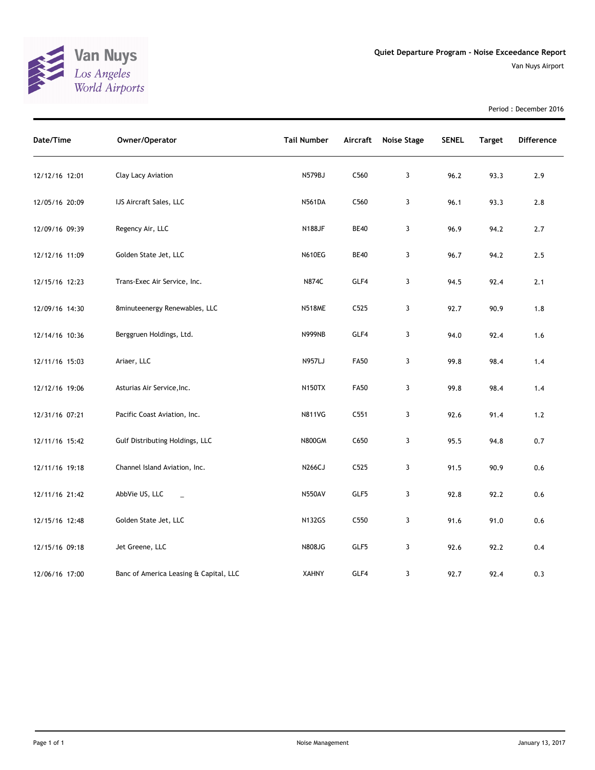

Period : December 2016

| Date/Time      | Owner/Operator                         | <b>Tail Number</b> | Aircraft         | <b>Noise Stage</b> | <b>SENEL</b> | <b>Target</b> | Difference |
|----------------|----------------------------------------|--------------------|------------------|--------------------|--------------|---------------|------------|
| 12/12/16 12:01 | Clay Lacy Aviation                     | N579BJ             | C560             | 3                  | 96.2         | 93.3          | 2.9        |
| 12/05/16 20:09 | IJS Aircraft Sales, LLC                | <b>N561DA</b>      | C <sub>560</sub> | 3                  | 96.1         | 93.3          | 2.8        |
| 12/09/16 09:39 | Regency Air, LLC                       | <b>N188JF</b>      | <b>BE40</b>      | 3                  | 96.9         | 94.2          | 2.7        |
| 12/12/16 11:09 | Golden State Jet, LLC                  | <b>N610EG</b>      | <b>BE40</b>      | 3                  | 96.7         | 94.2          | 2.5        |
| 12/15/16 12:23 | Trans-Exec Air Service, Inc.           | N874C              | GLF4             | 3                  | 94.5         | 92.4          | 2.1        |
| 12/09/16 14:30 | 8minuteenergy Renewables, LLC          | <b>N518ME</b>      | C525             | 3                  | 92.7         | 90.9          | 1.8        |
| 12/14/16 10:36 | Berggruen Holdings, Ltd.               | <b>N999NB</b>      | GLF4             | 3                  | 94.0         | 92.4          | 1.6        |
| 12/11/16 15:03 | Ariaer, LLC                            | <b>N957LJ</b>      | <b>FA50</b>      | 3                  | 99.8         | 98.4          | 1.4        |
| 12/12/16 19:06 | Asturias Air Service, Inc.             | <b>N150TX</b>      | <b>FA50</b>      | 3                  | 99.8         | 98.4          | 1.4        |
| 12/31/16 07:21 | Pacific Coast Aviation, Inc.           | <b>N811VG</b>      | C551             | 3                  | 92.6         | 91.4          | $1.2$      |
| 12/11/16 15:42 | Gulf Distributing Holdings, LLC        | <b>N800GM</b>      | C650             | 3                  | 95.5         | 94.8          | 0.7        |
| 12/11/16 19:18 | Channel Island Aviation, Inc.          | N266CJ             | C525             | 3                  | 91.5         | 90.9          | 0.6        |
| 12/11/16 21:42 | AbbVie US, LLC<br>$\equiv$             | N550AV             | GLF5             | 3                  | 92.8         | 92.2          | $0.6\,$    |
| 12/15/16 12:48 | Golden State Jet, LLC                  | <b>N132GS</b>      | C <sub>550</sub> | 3                  | 91.6         | 91.0          | 0.6        |
| 12/15/16 09:18 | Jet Greene, LLC                        | N808JG             | GLF5             | 3                  | 92.6         | 92.2          | 0.4        |
| 12/06/16 17:00 | Banc of America Leasing & Capital, LLC | <b>XAHNY</b>       | GLF4             | 3                  | 92.7         | 92.4          | 0.3        |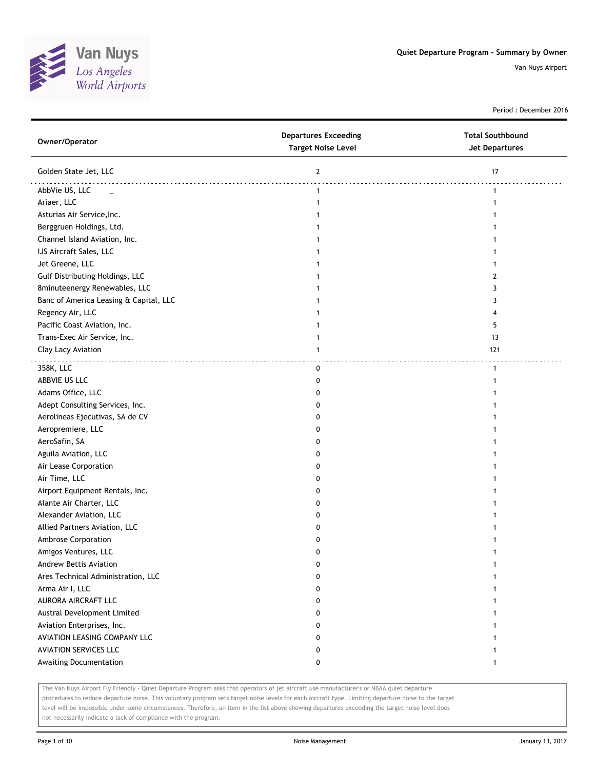

Period : December 2016

| Owner/Operator                         | <b>Departures Exceeding</b><br><b>Target Noise Level</b> | <b>Total Southbound</b><br><b>Jet Departures</b> |
|----------------------------------------|----------------------------------------------------------|--------------------------------------------------|
| Golden State Jet, LLC                  | $\mathbf{2}$                                             | 17                                               |
| AbbVie US, LLC<br>$\sim$               | $\mathbf{1}$                                             | $\mathbf{1}$                                     |
| Ariaer, LLC                            | $\mathbf{1}$                                             | 1                                                |
| Asturias Air Service, Inc.             |                                                          |                                                  |
| Berggruen Holdings, Ltd.               | 1                                                        |                                                  |
| Channel Island Aviation, Inc.          | 1                                                        |                                                  |
| IJS Aircraft Sales, LLC                | 1                                                        |                                                  |
| Jet Greene, LLC                        | 1                                                        |                                                  |
| Gulf Distributing Holdings, LLC        |                                                          | 2                                                |
| 8minuteenergy Renewables, LLC          | 1                                                        | 3                                                |
| Banc of America Leasing & Capital, LLC |                                                          | 3                                                |
| Regency Air, LLC                       |                                                          |                                                  |
| Pacific Coast Aviation, Inc.           |                                                          | 5                                                |
| Trans-Exec Air Service, Inc.           | 1                                                        | 13                                               |
| Clay Lacy Aviation                     | 1                                                        | 121                                              |
| 358K, LLC                              | 0                                                        | $\mathbf{1}$                                     |
| ABBVIE US LLC                          | 0                                                        | 1                                                |
| Adams Office, LLC                      | 0                                                        |                                                  |
| Adept Consulting Services, Inc.        | 0                                                        |                                                  |
| Aerolineas Ejecutivas, SA de CV        | 0                                                        |                                                  |
| Aeropremiere, LLC                      | 0                                                        |                                                  |
| AeroSafin, SA                          | 0                                                        |                                                  |
| Aguila Aviation, LLC                   | 0                                                        |                                                  |
| Air Lease Corporation                  | 0                                                        |                                                  |
| Air Time, LLC                          | 0                                                        |                                                  |
| Airport Equipment Rentals, Inc.        | 0                                                        |                                                  |
| Alante Air Charter, LLC                | 0                                                        |                                                  |
| Alexander Aviation, LLC                | 0                                                        |                                                  |
| Allied Partners Aviation, LLC          | 0                                                        |                                                  |
| Ambrose Corporation                    | 0                                                        |                                                  |
| Amigos Ventures, LLC                   | 0                                                        |                                                  |
| Andrew Bettis Aviation                 | 0                                                        |                                                  |
| Ares Technical Administration, LLC     | 0                                                        |                                                  |
| Arma Air I, LLC                        | 0                                                        |                                                  |
| AURORA AIRCRAFT LLC                    | 0                                                        |                                                  |
| Austral Development Limited            | 0                                                        |                                                  |
| Aviation Enterprises, Inc.             | 0                                                        |                                                  |
| AVIATION LEASING COMPANY LLC           | 0                                                        |                                                  |
| <b>AVIATION SERVICES LLC</b>           | 0                                                        |                                                  |
| Awaiting Documentation                 | 0                                                        | $\mathbf{1}$                                     |
|                                        |                                                          |                                                  |

The Van Nuys Airport Fly Friendly - Quiet Departure Program asks that operators of jet aircraft use manufacturer's or NBAA quiet departure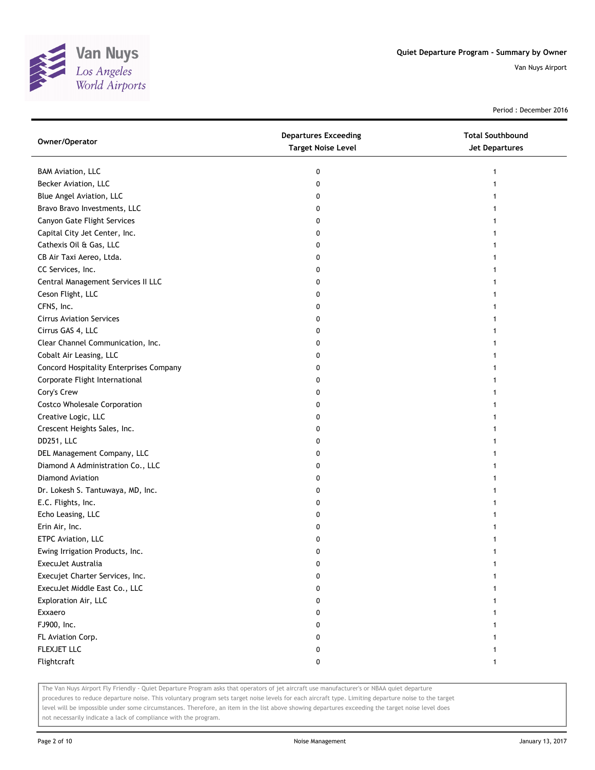

Period : December 2016

| Owner/Operator                          | <b>Departures Exceeding</b><br><b>Target Noise Level</b> | <b>Total Southbound</b><br>Jet Departures |
|-----------------------------------------|----------------------------------------------------------|-------------------------------------------|
| <b>BAM Aviation, LLC</b>                | 0                                                        | 1                                         |
| Becker Aviation, LLC                    | 0                                                        |                                           |
| Blue Angel Aviation, LLC                | 0                                                        |                                           |
| Bravo Bravo Investments, LLC            | 0                                                        |                                           |
| Canyon Gate Flight Services             | 0                                                        |                                           |
| Capital City Jet Center, Inc.           | 0                                                        |                                           |
| Cathexis Oil & Gas, LLC                 | 0                                                        |                                           |
| CB Air Taxi Aereo, Ltda.                | 0                                                        |                                           |
| CC Services, Inc.                       | 0                                                        |                                           |
| Central Management Services II LLC      | 0                                                        |                                           |
| Ceson Flight, LLC                       | 0                                                        |                                           |
| CFNS, Inc.                              | 0                                                        |                                           |
| <b>Cirrus Aviation Services</b>         | 0                                                        |                                           |
| Cirrus GAS 4, LLC                       | 0                                                        |                                           |
| Clear Channel Communication, Inc.       | 0                                                        |                                           |
| Cobalt Air Leasing, LLC                 | 0                                                        | 1                                         |
| Concord Hospitality Enterprises Company | 0                                                        |                                           |
| Corporate Flight International          | 0                                                        |                                           |
| Cory's Crew                             | 0                                                        |                                           |
| <b>Costco Wholesale Corporation</b>     | 0                                                        |                                           |
| Creative Logic, LLC                     | 0                                                        |                                           |
| Crescent Heights Sales, Inc.            | 0                                                        |                                           |
| DD251, LLC                              | 0                                                        |                                           |
| DEL Management Company, LLC             | 0                                                        |                                           |
| Diamond A Administration Co., LLC       | 0                                                        |                                           |
| Diamond Aviation                        | 0                                                        |                                           |
| Dr. Lokesh S. Tantuwaya, MD, Inc.       | 0                                                        |                                           |
| E.C. Flights, Inc.                      | 0                                                        |                                           |
| Echo Leasing, LLC                       | 0                                                        |                                           |
| Erin Air, Inc.                          | 0                                                        |                                           |
| ETPC Aviation, LLC                      | 0                                                        |                                           |
| Ewing Irrigation Products, Inc.         | 0                                                        |                                           |
| ExecuJet Australia                      | 0                                                        |                                           |
| Execujet Charter Services, Inc.         | 0                                                        |                                           |
| ExecuJet Middle East Co., LLC           | 0                                                        |                                           |
| Exploration Air, LLC                    | 0                                                        |                                           |
| Exxaero                                 | 0                                                        |                                           |
| FJ900, Inc.                             | 0                                                        |                                           |
| FL Aviation Corp.                       | 0                                                        |                                           |
| FLEXJET LLC                             | 0                                                        |                                           |
| Flightcraft                             | 0                                                        | 1                                         |

The Van Nuys Airport Fly Friendly - Quiet Departure Program asks that operators of jet aircraft use manufacturer's or NBAA quiet departure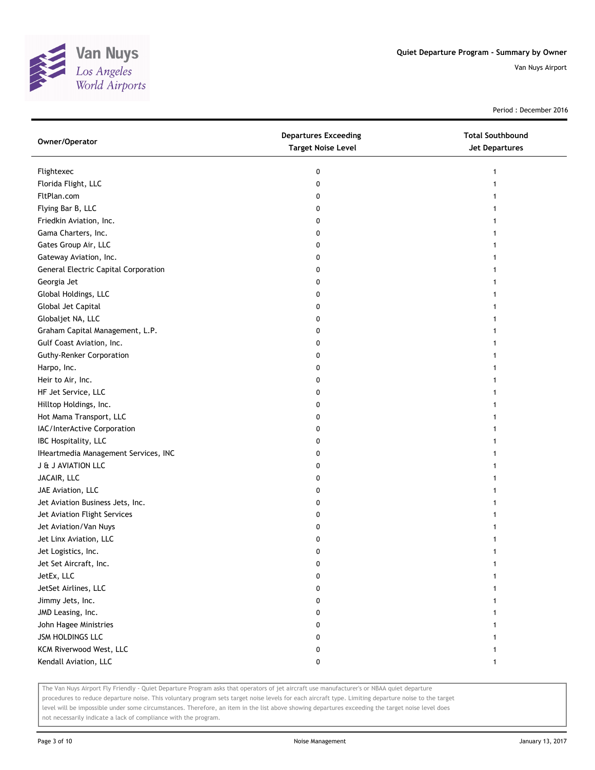

Period : December 2016

| Owner/Operator                       | <b>Departures Exceeding</b><br><b>Target Noise Level</b> | <b>Total Southbound</b><br>Jet Departures |
|--------------------------------------|----------------------------------------------------------|-------------------------------------------|
| Flightexec                           | 0                                                        | 1                                         |
| Florida Flight, LLC                  | 0                                                        |                                           |
| FltPlan.com                          | 0                                                        |                                           |
| Flying Bar B, LLC                    | 0                                                        |                                           |
| Friedkin Aviation, Inc.              | 0                                                        |                                           |
| Gama Charters, Inc.                  | 0                                                        | 1                                         |
| Gates Group Air, LLC                 | 0                                                        | 1                                         |
| Gateway Aviation, Inc.               | 0                                                        |                                           |
| General Electric Capital Corporation | 0                                                        |                                           |
| Georgia Jet                          | 0                                                        |                                           |
| Global Holdings, LLC                 | 0                                                        |                                           |
| Global Jet Capital                   | 0                                                        |                                           |
| Globaljet NA, LLC                    | 0                                                        |                                           |
| Graham Capital Management, L.P.      | 0                                                        |                                           |
| Gulf Coast Aviation, Inc.            | 0                                                        | 1                                         |
| <b>Guthy-Renker Corporation</b>      | 0                                                        | 1                                         |
| Harpo, Inc.                          | 0                                                        |                                           |
| Heir to Air, Inc.                    | 0                                                        |                                           |
| HF Jet Service, LLC                  | 0                                                        |                                           |
| Hilltop Holdings, Inc.               | 0                                                        |                                           |
| Hot Mama Transport, LLC              | 0                                                        |                                           |
| IAC/InterActive Corporation          | 0                                                        |                                           |
| IBC Hospitality, LLC                 | 0                                                        |                                           |
| IHeartmedia Management Services, INC | 0                                                        |                                           |
| <b>J &amp; J AVIATION LLC</b>        | 0                                                        | 1                                         |
| JACAIR, LLC                          | 0                                                        | 1                                         |
| JAE Aviation, LLC                    | 0                                                        | 1                                         |
| Jet Aviation Business Jets, Inc.     | 0                                                        |                                           |
| Jet Aviation Flight Services         | 0                                                        |                                           |
| Jet Aviation/Van Nuys                | 0                                                        |                                           |
| Jet Linx Aviation, LLC               | 0                                                        |                                           |
| Jet Logistics, Inc.                  | 0                                                        |                                           |
| Jet Set Aircraft, Inc.               | 0                                                        |                                           |
| JetEx, LLC                           | 0                                                        |                                           |
| JetSet Airlines, LLC                 | 0                                                        |                                           |
| Jimmy Jets, Inc.                     | 0                                                        |                                           |
| JMD Leasing, Inc.                    | 0                                                        |                                           |
| John Hagee Ministries                | 0                                                        |                                           |
| <b>JSM HOLDINGS LLC</b>              | 0                                                        |                                           |
| KCM Riverwood West, LLC              | 0                                                        |                                           |
| Kendall Aviation, LLC                | 0                                                        | $\mathbf{1}$                              |

The Van Nuys Airport Fly Friendly - Quiet Departure Program asks that operators of jet aircraft use manufacturer's or NBAA quiet departure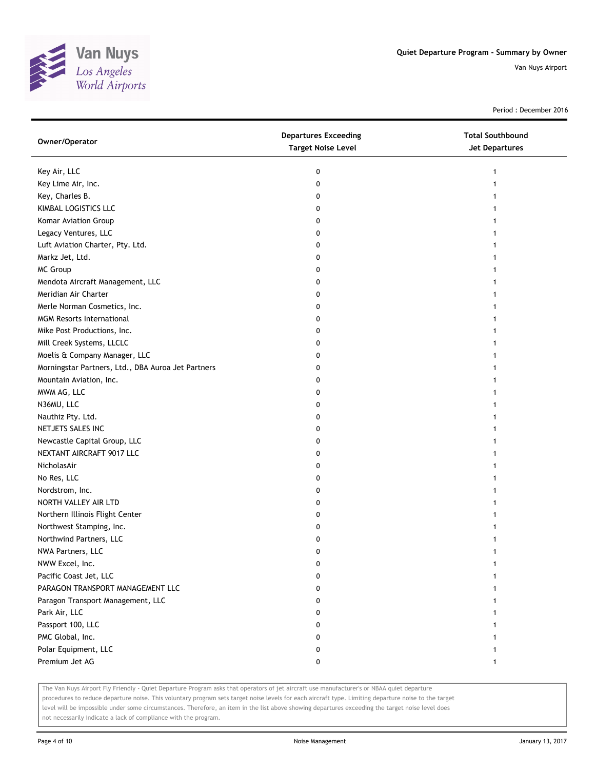

Period : December 2016

| Owner/Operator                                     | <b>Departures Exceeding</b><br><b>Target Noise Level</b> | <b>Total Southbound</b><br><b>Jet Departures</b> |
|----------------------------------------------------|----------------------------------------------------------|--------------------------------------------------|
| Key Air, LLC                                       | 0                                                        | 1                                                |
| Key Lime Air, Inc.                                 | 0                                                        |                                                  |
| Key, Charles B.                                    | 0                                                        |                                                  |
| KIMBAL LOGISTICS LLC                               | 0                                                        |                                                  |
| Komar Aviation Group                               | 0                                                        |                                                  |
| Legacy Ventures, LLC                               | 0                                                        |                                                  |
| Luft Aviation Charter, Pty. Ltd.                   | 0                                                        |                                                  |
| Markz Jet, Ltd.                                    | 0                                                        |                                                  |
| MC Group                                           | 0                                                        |                                                  |
| Mendota Aircraft Management, LLC                   | 0                                                        |                                                  |
| Meridian Air Charter                               | 0                                                        |                                                  |
| Merle Norman Cosmetics, Inc.                       | 0                                                        |                                                  |
| <b>MGM Resorts International</b>                   | 0                                                        |                                                  |
| Mike Post Productions, Inc.                        | 0                                                        |                                                  |
| Mill Creek Systems, LLCLC                          | 0                                                        |                                                  |
| Moelis & Company Manager, LLC                      | 0                                                        |                                                  |
| Morningstar Partners, Ltd., DBA Auroa Jet Partners | 0                                                        |                                                  |
| Mountain Aviation, Inc.                            | 0                                                        |                                                  |
| MWM AG, LLC                                        | 0                                                        |                                                  |
| N36MU, LLC                                         | 0                                                        |                                                  |
| Nauthiz Pty. Ltd.                                  | 0                                                        |                                                  |
| NETJETS SALES INC                                  | 0                                                        |                                                  |
| Newcastle Capital Group, LLC                       | 0                                                        |                                                  |
| NEXTANT AIRCRAFT 9017 LLC                          | 0                                                        |                                                  |
| NicholasAir                                        | 0                                                        |                                                  |
| No Res, LLC                                        | 0                                                        |                                                  |
| Nordstrom, Inc.                                    | 0                                                        |                                                  |
| NORTH VALLEY AIR LTD                               | 0                                                        |                                                  |
| Northern Illinois Flight Center                    | 0                                                        |                                                  |
| Northwest Stamping, Inc.                           | 0                                                        |                                                  |
| Northwind Partners, LLC                            | 0                                                        |                                                  |
| NWA Partners, LLC                                  | 0                                                        |                                                  |
| NWW Excel, Inc.                                    | 0                                                        |                                                  |
| Pacific Coast Jet, LLC                             | 0                                                        |                                                  |
| PARAGON TRANSPORT MANAGEMENT LLC                   | 0                                                        |                                                  |
| Paragon Transport Management, LLC                  | 0                                                        |                                                  |
| Park Air, LLC                                      | 0                                                        |                                                  |
| Passport 100, LLC                                  | 0                                                        |                                                  |
| PMC Global, Inc.                                   | 0                                                        |                                                  |
| Polar Equipment, LLC                               | 0                                                        |                                                  |
| Premium Jet AG                                     | 0                                                        |                                                  |

The Van Nuys Airport Fly Friendly - Quiet Departure Program asks that operators of jet aircraft use manufacturer's or NBAA quiet departure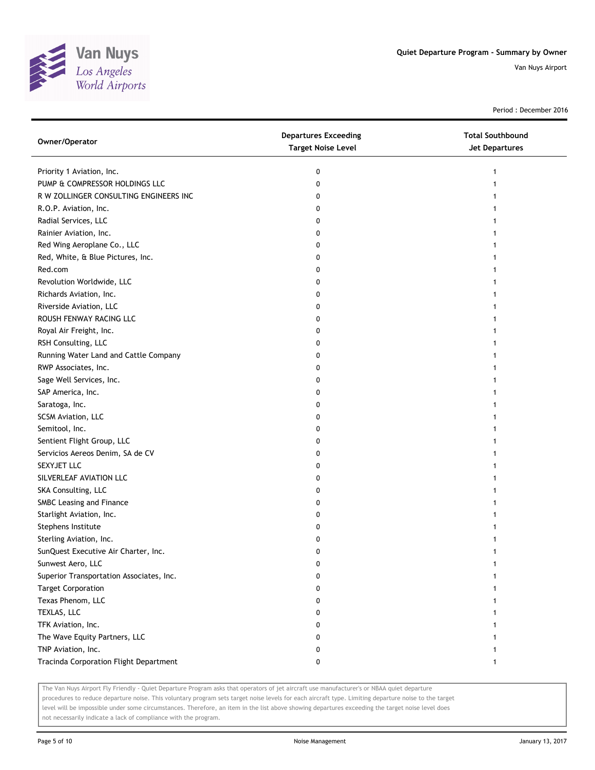

Period : December 2016

| Owner/Operator                           | <b>Departures Exceeding</b><br><b>Target Noise Level</b> | <b>Total Southbound</b><br><b>Jet Departures</b> |
|------------------------------------------|----------------------------------------------------------|--------------------------------------------------|
| Priority 1 Aviation, Inc.                | 0                                                        |                                                  |
| PUMP & COMPRESSOR HOLDINGS LLC           | 0                                                        |                                                  |
| R W ZOLLINGER CONSULTING ENGINEERS INC   | 0                                                        |                                                  |
| R.O.P. Aviation, Inc.                    | 0                                                        |                                                  |
| Radial Services, LLC                     | 0                                                        |                                                  |
| Rainier Aviation, Inc.                   | 0                                                        |                                                  |
| Red Wing Aeroplane Co., LLC              | 0                                                        |                                                  |
| Red, White, & Blue Pictures, Inc.        | 0                                                        |                                                  |
| Red.com                                  | 0                                                        |                                                  |
| Revolution Worldwide, LLC                | 0                                                        |                                                  |
| Richards Aviation, Inc.                  | 0                                                        |                                                  |
| Riverside Aviation, LLC                  | 0                                                        |                                                  |
| ROUSH FENWAY RACING LLC                  | 0                                                        |                                                  |
| Royal Air Freight, Inc.                  | 0                                                        |                                                  |
| RSH Consulting, LLC                      | 0                                                        |                                                  |
| Running Water Land and Cattle Company    | 0                                                        |                                                  |
| RWP Associates, Inc.                     | 0                                                        |                                                  |
| Sage Well Services, Inc.                 | 0                                                        |                                                  |
| SAP America, Inc.                        | 0                                                        |                                                  |
| Saratoga, Inc.                           | 0                                                        |                                                  |
| SCSM Aviation, LLC                       | 0                                                        |                                                  |
| Semitool, Inc.                           | 0                                                        |                                                  |
| Sentient Flight Group, LLC               | 0                                                        |                                                  |
| Servicios Aereos Denim, SA de CV         | 0                                                        |                                                  |
| SEXYJET LLC                              | 0                                                        |                                                  |
| SILVERLEAF AVIATION LLC                  | 0                                                        |                                                  |
| SKA Consulting, LLC                      | 0                                                        |                                                  |
| SMBC Leasing and Finance                 | 0                                                        |                                                  |
| Starlight Aviation, Inc.                 | 0                                                        |                                                  |
| Stephens Institute                       | 0                                                        |                                                  |
| Sterling Aviation, Inc.                  | 0                                                        |                                                  |
| SunQuest Executive Air Charter, Inc.     | 0                                                        |                                                  |
| Sunwest Aero, LLC                        | 0                                                        |                                                  |
| Superior Transportation Associates, Inc. | 0                                                        |                                                  |
| <b>Target Corporation</b>                | 0                                                        |                                                  |
| Texas Phenom, LLC                        | 0                                                        |                                                  |
| TEXLAS, LLC                              | 0                                                        |                                                  |
| TFK Aviation, Inc.                       | 0                                                        |                                                  |
| The Wave Equity Partners, LLC            | 0                                                        |                                                  |
| TNP Aviation, Inc.                       | 0                                                        |                                                  |
| Tracinda Corporation Flight Department   | 0                                                        | 1                                                |

The Van Nuys Airport Fly Friendly - Quiet Departure Program asks that operators of jet aircraft use manufacturer's or NBAA quiet departure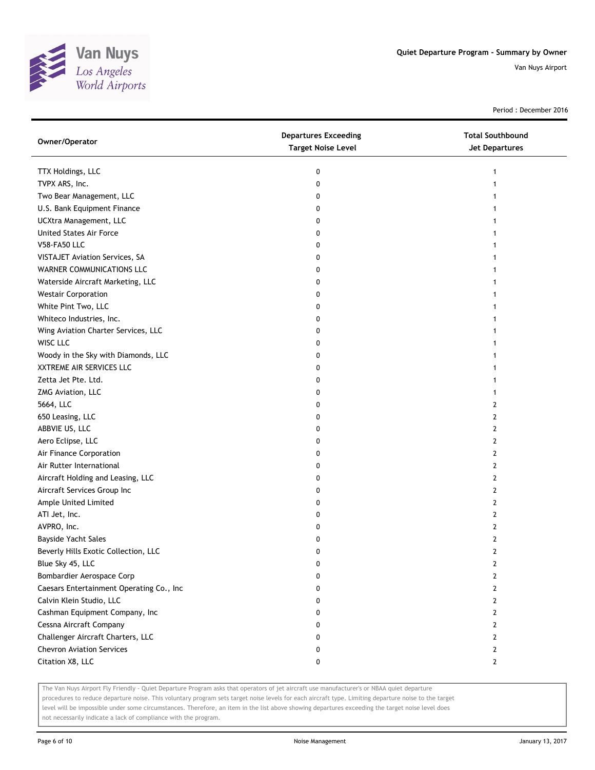

Period : December 2016

| Owner/Operator                           | <b>Departures Exceeding</b><br><b>Target Noise Level</b> | <b>Total Southbound</b><br><b>Jet Departures</b> |
|------------------------------------------|----------------------------------------------------------|--------------------------------------------------|
| TTX Holdings, LLC                        | 0                                                        |                                                  |
| TVPX ARS, Inc.                           | 0                                                        |                                                  |
| Two Bear Management, LLC                 | 0                                                        |                                                  |
| U.S. Bank Equipment Finance              | 0                                                        |                                                  |
| UCXtra Management, LLC                   | 0                                                        |                                                  |
| United States Air Force                  | 0                                                        |                                                  |
| V58-FA50 LLC                             | 0                                                        |                                                  |
| VISTAJET Aviation Services, SA           | 0                                                        |                                                  |
| WARNER COMMUNICATIONS LLC                | 0                                                        |                                                  |
| Waterside Aircraft Marketing, LLC        | 0                                                        |                                                  |
| <b>Westair Corporation</b>               | 0                                                        |                                                  |
| White Pint Two, LLC                      | 0                                                        |                                                  |
| Whiteco Industries, Inc.                 | 0                                                        |                                                  |
| Wing Aviation Charter Services, LLC      | 0                                                        |                                                  |
| WISC LLC                                 | 0                                                        |                                                  |
| Woody in the Sky with Diamonds, LLC      | 0                                                        |                                                  |
| XXTREME AIR SERVICES LLC                 | 0                                                        |                                                  |
| Zetta Jet Pte. Ltd.                      | 0                                                        |                                                  |
| ZMG Aviation, LLC                        | 0                                                        | 1                                                |
| 5664, LLC                                | 0                                                        | 2                                                |
| 650 Leasing, LLC                         | 0                                                        | 2                                                |
| ABBVIE US, LLC                           | 0                                                        | 2                                                |
| Aero Eclipse, LLC                        | 0                                                        | 2                                                |
| Air Finance Corporation                  | 0                                                        | 2                                                |
| Air Rutter International                 | 0                                                        | 2                                                |
| Aircraft Holding and Leasing, LLC        | 0                                                        | 2                                                |
| Aircraft Services Group Inc              | 0                                                        | 2                                                |
| Ample United Limited                     | 0                                                        | 2                                                |
| ATI Jet, Inc.                            | 0                                                        | 2                                                |
| AVPRO, Inc.                              | 0                                                        | 2                                                |
| Bayside Yacht Sales                      | 0                                                        | 2                                                |
| Beverly Hills Exotic Collection, LLC     | 0                                                        | 2                                                |
| Blue Sky 45, LLC                         | 0                                                        | 2                                                |
| Bombardier Aerospace Corp                | 0                                                        | 2                                                |
| Caesars Entertainment Operating Co., Inc | 0                                                        | $\mathbf{2}$                                     |
| Calvin Klein Studio, LLC                 | 0                                                        | 2                                                |
| Cashman Equipment Company, Inc           | 0                                                        | $\mathbf{2}$                                     |
| Cessna Aircraft Company                  | 0                                                        | 2                                                |
| Challenger Aircraft Charters, LLC        | 0                                                        | 2                                                |
| <b>Chevron Aviation Services</b>         | 0                                                        | $\mathbf{2}$                                     |
| Citation X8, LLC                         | 0                                                        | $\mathbf{2}$                                     |

The Van Nuys Airport Fly Friendly - Quiet Departure Program asks that operators of jet aircraft use manufacturer's or NBAA quiet departure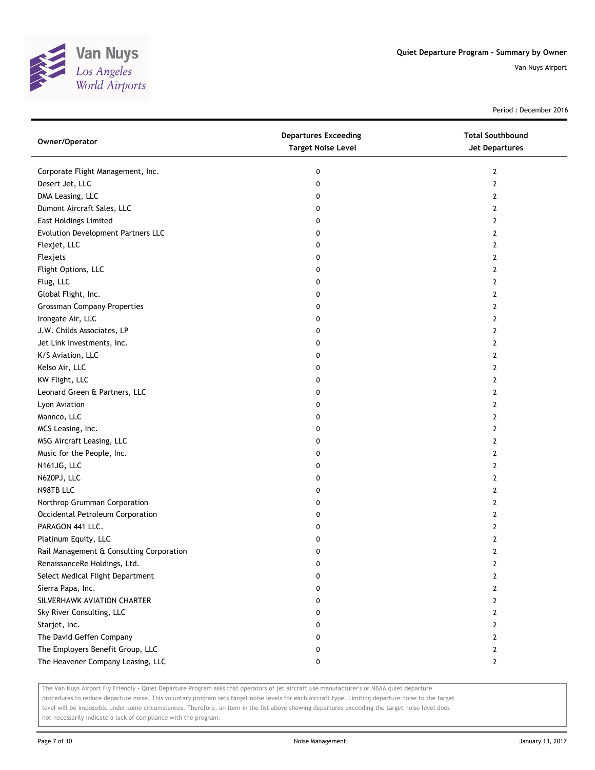

Period : December 2016

| Owner/Operator                           | <b>Departures Exceeding</b><br><b>Target Noise Level</b> | <b>Total Southbound</b><br><b>Jet Departures</b> |
|------------------------------------------|----------------------------------------------------------|--------------------------------------------------|
| Corporate Flight Management, Inc.        | 0                                                        | $\mathbf{2}$                                     |
| Desert Jet, LLC                          | 0                                                        | 2                                                |
| DMA Leasing, LLC                         | 0                                                        | 2                                                |
| Dumont Aircraft Sales, LLC               | 0                                                        | 2                                                |
| <b>East Holdings Limited</b>             | 0                                                        | 2                                                |
| Evolution Development Partners LLC       | 0                                                        | 2                                                |
| Flexjet, LLC                             | 0                                                        | 2                                                |
| Flexjets                                 | 0                                                        | 2                                                |
| Flight Options, LLC                      | 0                                                        | 2                                                |
| Flug, LLC                                | 0                                                        | 2                                                |
| Global Flight, Inc.                      | 0                                                        | $\overline{2}$                                   |
| <b>Grossman Company Properties</b>       | 0                                                        | 2                                                |
| Irongate Air, LLC                        | 0                                                        | 2                                                |
| J.W. Childs Associates, LP               | 0                                                        | 2                                                |
| Jet Link Investments, Inc.               | 0                                                        | 2                                                |
| K/S Aviation, LLC                        | 0                                                        | 2                                                |
| Kelso Air, LLC                           | 0                                                        | 2                                                |
| KW Flight, LLC                           | 0                                                        | 2                                                |
| Leonard Green & Partners, LLC            | 0                                                        | 2                                                |
| Lyon Aviation                            | 0                                                        | 2                                                |
| Mannco, LLC                              | 0                                                        | 2                                                |
| MCS Leasing, Inc.                        | 0                                                        | 2                                                |
| MSG Aircraft Leasing, LLC                | 0                                                        | 2                                                |
| Music for the People, Inc.               | 0                                                        | 2                                                |
| N161JG, LLC                              | 0                                                        | 2                                                |
| N620PJ, LLC                              | 0                                                        | 2                                                |
| N98TB LLC                                | 0                                                        | 2                                                |
| Northrop Grumman Corporation             | 0                                                        | 2                                                |
| Occidental Petroleum Corporation         | 0                                                        | 2                                                |
| PARAGON 441 LLC.                         | 0                                                        | 2                                                |
| Platinum Equity, LLC                     | 0                                                        | 2                                                |
| Rail Management & Consulting Corporation | 0                                                        | 2                                                |
| RenaissanceRe Holdings, Ltd.             | U                                                        | $\mathbf{z}$                                     |
| Select Medical Flight Department         | 0                                                        | 2                                                |
| Sierra Papa, Inc.                        | 0                                                        | 2                                                |
| SILVERHAWK AVIATION CHARTER              | 0                                                        | 2                                                |
| Sky River Consulting, LLC                | 0                                                        | 2                                                |
| Starjet, Inc.                            | 0                                                        | 2                                                |
| The David Geffen Company                 | 0                                                        | 2                                                |
| The Employers Benefit Group, LLC         | 0                                                        | 2                                                |
| The Heavener Company Leasing, LLC        | 0                                                        | 2                                                |

The Van Nuys Airport Fly Friendly - Quiet Departure Program asks that operators of jet aircraft use manufacturer's or NBAA quiet departure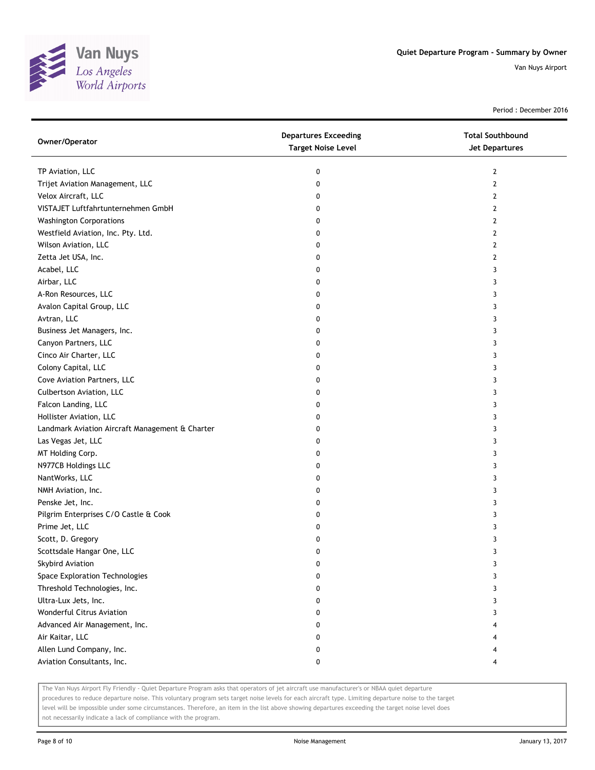

Period : December 2016

| Owner/Operator                                  | <b>Departures Exceeding</b><br><b>Target Noise Level</b> | <b>Total Southbound</b><br>Jet Departures |
|-------------------------------------------------|----------------------------------------------------------|-------------------------------------------|
| TP Aviation, LLC                                | 0                                                        | 2                                         |
| Trijet Aviation Management, LLC                 | 0                                                        | 2                                         |
| Velox Aircraft, LLC                             | 0                                                        | 2                                         |
| VISTAJET Luftfahrtunternehmen GmbH              | 0                                                        | 2                                         |
| <b>Washington Corporations</b>                  | 0                                                        | 2                                         |
| Westfield Aviation, Inc. Pty. Ltd.              | 0                                                        | 2                                         |
| Wilson Aviation, LLC                            | 0                                                        | 2                                         |
| Zetta Jet USA, Inc.                             | 0                                                        | 2                                         |
| Acabel, LLC                                     | 0                                                        | 3                                         |
| Airbar, LLC                                     | 0                                                        | 3                                         |
| A-Ron Resources, LLC                            | 0                                                        | 3                                         |
| Avalon Capital Group, LLC                       | 0                                                        | 3                                         |
| Avtran, LLC                                     | 0                                                        | 3                                         |
| Business Jet Managers, Inc.                     | 0                                                        | 3                                         |
| Canyon Partners, LLC                            | 0                                                        | 3                                         |
| Cinco Air Charter, LLC                          | 0                                                        | 3                                         |
| Colony Capital, LLC                             | 0                                                        | 3                                         |
| Cove Aviation Partners, LLC                     | 0                                                        | 3                                         |
| Culbertson Aviation, LLC                        | 0                                                        | 3                                         |
| Falcon Landing, LLC                             | 0                                                        | 3                                         |
| Hollister Aviation, LLC                         | 0                                                        | 3                                         |
| Landmark Aviation Aircraft Management & Charter | 0                                                        | 3                                         |
| Las Vegas Jet, LLC                              | 0                                                        | 3                                         |
| MT Holding Corp.                                | 0                                                        | 3                                         |
| N977CB Holdings LLC                             | 0                                                        | 3                                         |
| NantWorks, LLC                                  | 0                                                        | 3                                         |
| NMH Aviation, Inc.                              | 0                                                        | 3                                         |
| Penske Jet, Inc.                                | 0                                                        | 3                                         |
| Pilgrim Enterprises C/O Castle & Cook           | 0                                                        | 3                                         |
| Prime Jet, LLC                                  | 0                                                        | 3                                         |
| Scott, D. Gregory                               | 0                                                        | 3                                         |
| Scottsdale Hangar One, LLC                      | 0                                                        | 3                                         |
| Skybird Aviation                                | 0                                                        | 3                                         |
| Space Exploration Technologies                  | 0                                                        | 3                                         |
| Threshold Technologies, Inc.                    | 0                                                        | 3                                         |
| Ultra-Lux Jets, Inc.                            | 0                                                        | 3                                         |
| Wonderful Citrus Aviation                       | 0                                                        | 3                                         |
| Advanced Air Management, Inc.                   | 0                                                        |                                           |
| Air Kaitar, LLC                                 | 0                                                        |                                           |
| Allen Lund Company, Inc.                        | 0                                                        |                                           |
| Aviation Consultants, Inc.                      | 0                                                        |                                           |

The Van Nuys Airport Fly Friendly - Quiet Departure Program asks that operators of jet aircraft use manufacturer's or NBAA quiet departure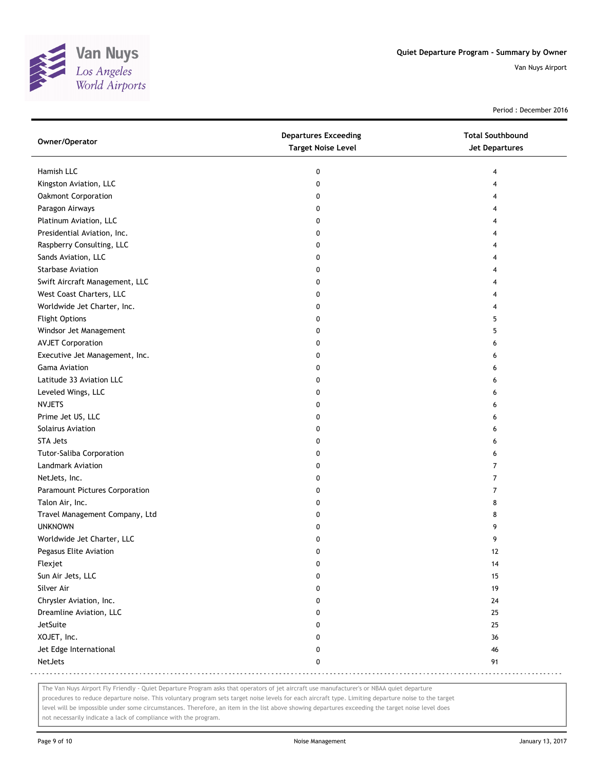

Period : December 2016

| Owner/Operator                 | <b>Departures Exceeding</b><br><b>Target Noise Level</b> | <b>Total Southbound</b><br>Jet Departures |
|--------------------------------|----------------------------------------------------------|-------------------------------------------|
|                                |                                                          |                                           |
| Hamish LLC                     | 0                                                        | 4                                         |
| Kingston Aviation, LLC         | 0                                                        | 4                                         |
| Oakmont Corporation            | 0                                                        | 4                                         |
| Paragon Airways                | 0                                                        | 4                                         |
| Platinum Aviation, LLC         | 0                                                        | 4                                         |
| Presidential Aviation, Inc.    | 0                                                        | 4                                         |
| Raspberry Consulting, LLC      | 0                                                        | 4                                         |
| Sands Aviation, LLC            | 0                                                        | 4                                         |
| Starbase Aviation              | 0                                                        | 4                                         |
| Swift Aircraft Management, LLC | 0                                                        | 4                                         |
| West Coast Charters, LLC       | 0                                                        | 4                                         |
| Worldwide Jet Charter, Inc.    | 0                                                        | 4                                         |
| <b>Flight Options</b>          | 0                                                        | 5                                         |
| Windsor Jet Management         | 0                                                        | 5                                         |
| <b>AVJET Corporation</b>       | 0                                                        | 6                                         |
| Executive Jet Management, Inc. | 0                                                        | 6                                         |
| <b>Gama Aviation</b>           | 0                                                        | 6                                         |
| Latitude 33 Aviation LLC       | 0                                                        | 6                                         |
| Leveled Wings, LLC             | 0                                                        | 6                                         |
| <b>NVJETS</b>                  | 0                                                        | 6                                         |
| Prime Jet US, LLC              | 0                                                        | 6                                         |
| Solairus Aviation              | 0                                                        | 6                                         |
| <b>STA Jets</b>                | 0                                                        | 6                                         |
| Tutor-Saliba Corporation       | 0                                                        | 6                                         |
| Landmark Aviation              | 0                                                        | 7                                         |
| NetJets, Inc.                  | 0                                                        | $\overline{7}$                            |
| Paramount Pictures Corporation | 0                                                        | 7                                         |
| Talon Air, Inc.                | 0                                                        | 8                                         |
| Travel Management Company, Ltd | 0                                                        | 8                                         |
| <b>UNKNOWN</b>                 | 0                                                        | 9                                         |
| Worldwide Jet Charter, LLC     | 0                                                        | 9                                         |
| Pegasus Elite Aviation         | 0                                                        | 12                                        |
| Flexjet                        | 0                                                        | 14                                        |
| Sun Air Jets, LLC              | 0                                                        | 15                                        |
| Silver Air                     | 0                                                        | 19                                        |
| Chrysler Aviation, Inc.        | 0                                                        | 24                                        |
| Dreamline Aviation, LLC        | 0                                                        | 25                                        |
| JetSuite                       | 0                                                        | 25                                        |
| XOJET, Inc.                    | 0                                                        | 36                                        |
| Jet Edge International         | 0                                                        | 46                                        |
| NetJets                        | 0                                                        | 91                                        |

The Van Nuys Airport Fly Friendly - Quiet Departure Program asks that operators of jet aircraft use manufacturer's or NBAA quiet departure

procedures to reduce departure noise. This voluntary program sets target noise levels for each aircraft type. Limiting departure noise to the target level will be impossible under some circumstances. Therefore, an item in the list above showing departures exceeding the target noise level does

not necessarily indicate a lack of compliance with the program.